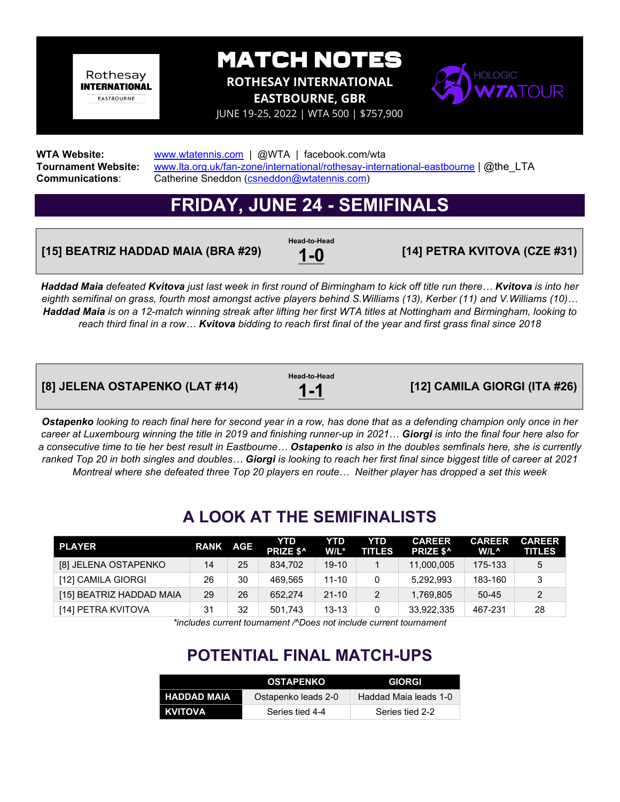Rothesay **INTERNATIONAL EASTBOURNE** 

MATCH NOTES

**ROTHESAY INTERNATIONAL** 

**EASTBOURNE, GBR** 



JUNE 19-25, 2022 | WTA 500 | \$757,900

**WTA Website:** [www.wtatennis.com](http://www.wtatennis.com/) | @WTA | facebook.com/wta **Tournament Website:** [www.lta.org.uk/fan-zone/international/rothesay-international-eastbourne](http://www.lta.org.uk/fan-zone/international/rothesay-international-eastbourne) | @the\_LTA<br>Communications: Catherine Sneddon (csneddon@wtatennis.com) Catherine Sneddon [\(csneddon@wtatennis.com\)](mailto:csneddon@wtatennis.com)

### **FRIDAY, JUNE 24 - SEMIFINALS**

#### **[15] BEATRIZ HADDAD MAIA (BRA #29)**

**Head-to-Head**

**1-0 [14] PETRA KVITOVA (CZE #31)**

*Haddad Maia defeated Kvitova just last week in first round of Birmingham to kick off title run there… Kvitova is into her eighth semifinal on grass, fourth most amongst active players behind S.Williams (13), Kerber (11) and V.Williams (10)… Haddad Maia is on a 12-match winning streak after lifting her first WTA titles at Nottingham and Birmingham, looking to reach third final in a row… Kvitova bidding to reach first final of the year and first grass final since 2018* 

| [8] JELENA OSTAPENKO (LAT #14) | Head-to-Head<br>$1 - 1$ | [12] CAMILA GIORGI (ITA #26) |
|--------------------------------|-------------------------|------------------------------|
|                                |                         |                              |

*Ostapenko looking to reach final here for second year in a row, has done that as a defending champion only once in her career at Luxembourg winning the title in 2019 and finishing runner-up in 2021… Giorgi is into the final four here also for a consecutive time to tie her best result in Eastbourne… Ostapenko is also in the doubles semfinals here, she is currently ranked Top 20 in both singles and doubles… Giorgi is looking to reach her first final since biggest title of career at 2021 Montreal where she defeated three Top 20 players en route… Neither player has dropped a set this week*

### **A LOOK AT THE SEMIFINALISTS**

| <b>PLAYER</b>            | <b>RANK AGE</b> |    | YTD<br>PRIZE \$^ | YTD<br>$W/L^*$ | YTD<br><b>TITLES</b> | <b>CAREER</b><br>PRIZE \$^ | <b>CAREER</b><br>W/L^ | <b>CAREER</b><br><b>TITLES</b> |
|--------------------------|-----------------|----|------------------|----------------|----------------------|----------------------------|-----------------------|--------------------------------|
| [8] JELENA OSTAPENKO     | 14              | 25 | 834.702          | $19-10$        |                      | 11,000,005                 | 175-133               | 5                              |
| [12] CAMILA GIORGI       | 26              | 30 | 469.565          | 11-10          |                      | 5.292.993                  | 183-160               |                                |
| [15] BEATRIZ HADDAD MAIA | 29              | 26 | 652.274          | $21 - 10$      |                      | 1.769.805                  | $50 - 45$             |                                |
| [14] PETRA KVITOVA       | 31              | 32 | 501.743          | $13 - 13$      |                      | 33,922,335                 | 467-231               | 28                             |

*\*includes current tournament /^Does not include current tournament*

### **POTENTIAL FINAL MATCH-UPS**

|                    | <b>OSTAPENKO</b>    | <b>GIORGI</b>         |
|--------------------|---------------------|-----------------------|
| <b>HADDAD MAIA</b> | Ostapenko leads 2-0 | Haddad Maia leads 1-0 |
| <b>TKVITOVA</b>    | Series tied 4-4     | Series tied 2-2       |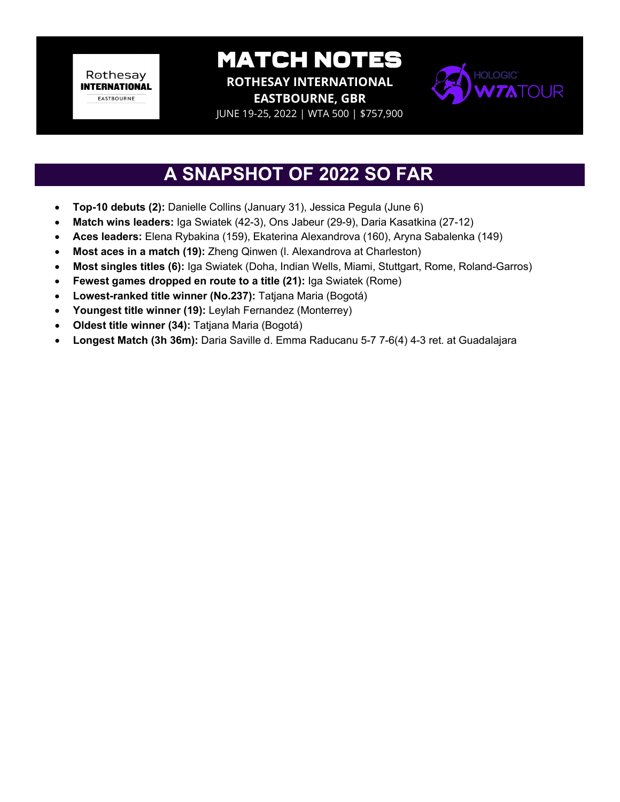Rothesay **INTERNATIONAL EASTBOURNE** 

MATCH NOTES

**ROTHESAY INTERNATIONAL EASTBOURNE, GBR**



JUNE 19-25, 2022 | WTA 500 | \$757,900

### **A SNAPSHOT OF 2022 SO FAR**

- **Top-10 debuts (2):** Danielle Collins (January 31), Jessica Pegula (June 6)
- **Match wins leaders:** Iga Swiatek (42-3), Ons Jabeur (29-9), Daria Kasatkina (27-12)
- **Aces leaders:** Elena Rybakina (159), Ekaterina Alexandrova (160), Aryna Sabalenka (149)
- **Most aces in a match (19):** Zheng Qinwen (l. Alexandrova at Charleston)
- **Most singles titles (6):** Iga Swiatek (Doha, Indian Wells, Miami, Stuttgart, Rome, Roland-Garros)
- **Fewest games dropped en route to a title (21):** Iga Swiatek (Rome)
- **Lowest-ranked title winner (No.237):** Tatjana Maria (Bogotá)
- **Youngest title winner (19):** Leylah Fernandez (Monterrey)
- **Oldest title winner (34):** Tatjana Maria (Bogotá)
- **Longest Match (3h 36m):** Daria Saville d. Emma Raducanu 5-7 7-6(4) 4-3 ret. at Guadalajara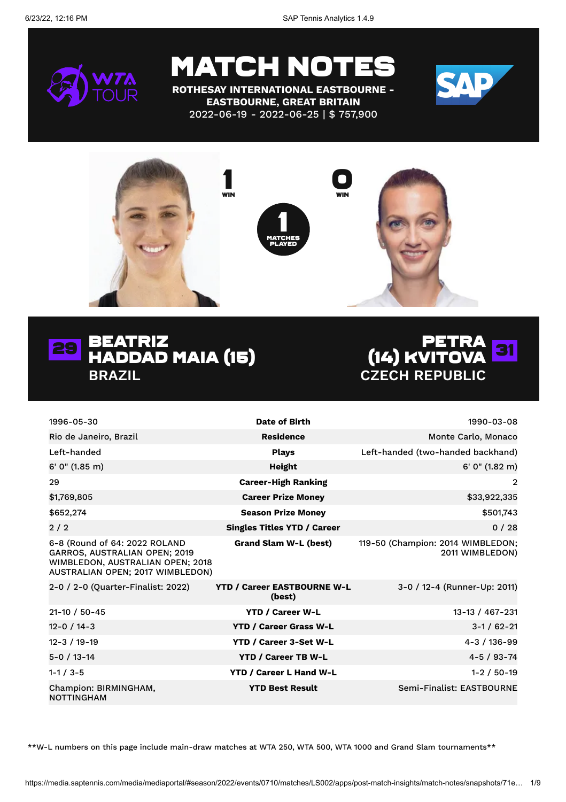

**ROTHESAY INTERNATIONAL EASTBOURNE - EASTBOURNE, GREAT BRITAIN** 2022-06-19 - 2022-06-25 | \$ 757,900









| 1996-05-30                                                                                                                             | Date of Birth                                | 1990-03-08                                           |
|----------------------------------------------------------------------------------------------------------------------------------------|----------------------------------------------|------------------------------------------------------|
| Rio de Janeiro, Brazil                                                                                                                 | <b>Residence</b>                             | Monte Carlo, Monaco                                  |
| Left-handed                                                                                                                            | <b>Plays</b>                                 | Left-handed (two-handed backhand)                    |
| $6'$ 0" (1.85 m)                                                                                                                       | Height                                       | 6' 0" (1.82 m)                                       |
| 29                                                                                                                                     | <b>Career-High Ranking</b>                   | 2                                                    |
| \$1,769,805                                                                                                                            | <b>Career Prize Money</b>                    | \$33,922,335                                         |
| \$652,274                                                                                                                              | <b>Season Prize Money</b>                    | \$501,743                                            |
| 2/2                                                                                                                                    | <b>Singles Titles YTD / Career</b>           | 0/28                                                 |
| 6-8 (Round of 64: 2022 ROLAND<br>GARROS, AUSTRALIAN OPEN; 2019<br>WIMBLEDON, AUSTRALIAN OPEN; 2018<br>AUSTRALIAN OPEN; 2017 WIMBLEDON) | <b>Grand Slam W-L (best)</b>                 | 119-50 (Champion: 2014 WIMBLEDON;<br>2011 WIMBLEDON) |
| 2-0 / 2-0 (Quarter-Finalist: 2022)                                                                                                     | <b>YTD / Career EASTBOURNE W-L</b><br>(best) | 3-0 / 12-4 (Runner-Up: 2011)                         |
| $21 - 10 / 50 - 45$                                                                                                                    | <b>YTD / Career W-L</b>                      | 13-13 / 467-231                                      |
| 12-0 / 14-3                                                                                                                            | <b>YTD / Career Grass W-L</b>                | $3 - 1 / 62 - 21$                                    |
| $12 - 3 / 19 - 19$                                                                                                                     | YTD / Career 3-Set W-L                       | 4-3 / 136-99                                         |
| $5 - 0 / 13 - 14$                                                                                                                      | <b>YTD / Career TB W-L</b>                   | $4 - 5 / 93 - 74$                                    |
| $1 - 1 / 3 - 5$                                                                                                                        | <b>YTD / Career L Hand W-L</b>               | $1 - 2 / 50 - 19$                                    |
| Champion: BIRMINGHAM,<br><b>NOTTINGHAM</b>                                                                                             | <b>YTD Best Result</b>                       | Semi-Finalist: EASTBOURNE                            |

\*\*W-L numbers on this page include main-draw matches at WTA 250, WTA 500, WTA 1000 and Grand Slam tournaments\*\*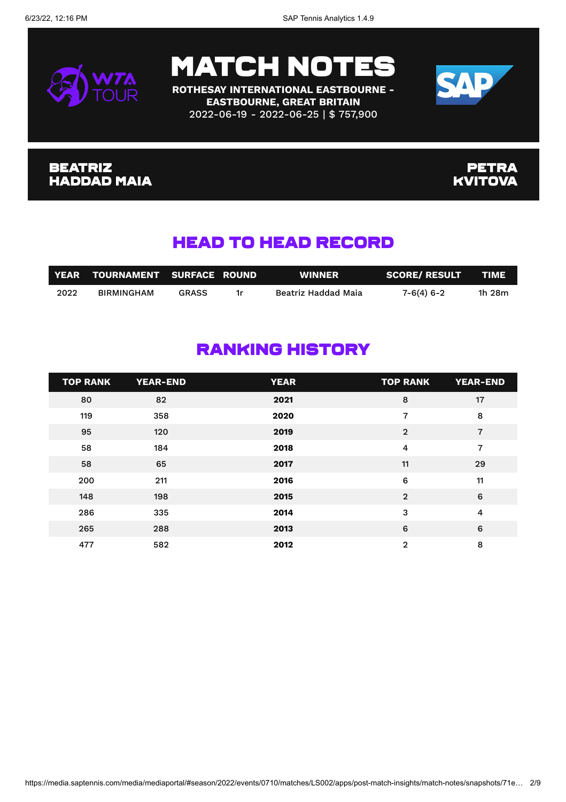



**ROTHESAY INTERNATIONAL EASTBOURNE - EASTBOURNE, GREAT BRITAIN** 2022-06-19 - 2022-06-25 | \$ 757,900



#### Beatriz Haddad Maia

**PETRA KVITOVA** 

### Head To Head Record

|      | YEAR TOURNAMENT SURFACE ROUND |              |    | <b>WINNER</b>       | <b>SCORE/ RESULT</b> | <b>TIME</b> |
|------|-------------------------------|--------------|----|---------------------|----------------------|-------------|
| 2022 | <b>BIRMINGHAM</b>             | <b>GRASS</b> | 1r | Beatriz Haddad Maia | $7 - 6(4) 6 - 2$     | 1h 28m      |

### Ranking History

| <b>TOP RANK</b> | <b>YEAR-END</b> | <b>YEAR</b> | <b>TOP RANK</b> | <b>YEAR-END</b> |
|-----------------|-----------------|-------------|-----------------|-----------------|
| 80              | 82              | 2021        | 8               | 17              |
| 119             | 358             | 2020        | 7               | 8               |
| 95              | 120             | 2019        | $\overline{2}$  | $\overline{7}$  |
| 58              | 184             | 2018        | 4               | $\overline{7}$  |
| 58              | 65              | 2017        | 11              | 29              |
| 200             | 211             | 2016        | 6               | 11              |
| 148             | 198             | 2015        | $\overline{2}$  | 6               |
| 286             | 335             | 2014        | 3               | 4               |
| 265             | 288             | 2013        | 6               | 6               |
| 477             | 582             | 2012        | $\overline{2}$  | 8               |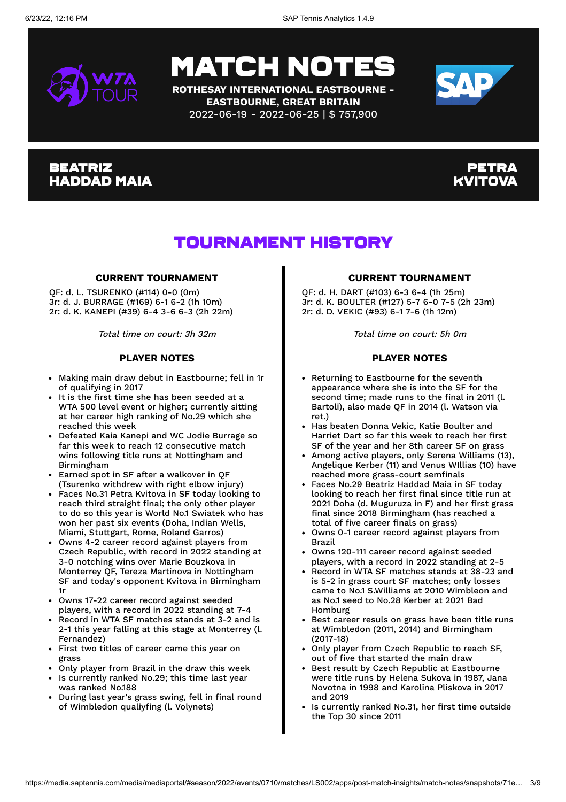

**ROTHESAY INTERNATIONAL EASTBOURNE - EASTBOURNE, GREAT BRITAIN** 2022-06-19 - 2022-06-25 | \$ 757,900



#### **BEATRIZ** Haddad Maia

#### Petra Kvitova

### Tournament History

#### **CURRENT TOURNAMENT**

QF: d. L. TSURENKO (#114) 0-0 (0m) 3r: d. J. BURRAGE (#169) 6-1 6-2 (1h 10m) 2r: d. K. KANEPI (#39) 6-4 3-6 6-3 (2h 22m)

Total time on court: 3h 32m

#### **PLAYER NOTES**

- Making main draw debut in Eastbourne; fell in 1r of qualifying in 2017
- It is the first time she has been seeded at a WTA 500 level event or higher; currently sitting at her career high ranking of No.29 which she reached this week
- Defeated Kaia Kanepi and WC Jodie Burrage so far this week to reach 12 consecutive match wins following title runs at Nottingham and Birmingham
- Earned spot in SF after a walkover in QF (Tsurenko withdrew with right elbow injury)
- Faces No.31 Petra Kvitova in SF today looking to reach third straight final; the only other player to do so this year is World No.1 Swiatek who has won her past six events (Doha, Indian Wells, Miami, Stuttgart, Rome, Roland Garros)
- Owns 4-2 career record against players from Czech Republic, with record in 2022 standing at 3-0 notching wins over Marie Bouzkova in Monterrey QF, Tereza Martinova in Nottingham SF and today's opponent Kvitova in Birmingham 1r
- Owns 17-22 career record against seeded players, with a record in 2022 standing at 7-4
- Record in WTA SF matches stands at 3-2 and is 2-1 this year falling at this stage at Monterrey (l. Fernandez)
- First two titles of career came this year on grass
- Only player from Brazil in the draw this week
- Is currently ranked No.29; this time last year was ranked No.188
- During last year's grass swing, fell in final round of Wimbledon qualiyfing (l. Volynets)

#### **CURRENT TOURNAMENT**

QF: d. H. DART (#103) 6-3 6-4 (1h 25m) 3r: d. K. BOULTER (#127) 5-7 6-0 7-5 (2h 23m) 2r: d. D. VEKIC (#93) 6-1 7-6 (1h 12m)

Total time on court: 5h 0m

#### **PLAYER NOTES**

- Returning to Eastbourne for the seventh appearance where she is into the SF for the second time; made runs to the final in 2011 (l. Bartoli), also made QF in 2014 (l. Watson via ret.)
- Has beaten Donna Vekic, Katie Boulter and Harriet Dart so far this week to reach her first SF of the year and her 8th career SF on grass
- Among active players, only Serena Williams (13), Angelique Kerber (11) and Venus WIllias (10) have reached more grass-court semfinals
- Faces No.29 Beatriz Haddad Maia in SF today looking to reach her first final since title run at 2021 Doha (d. Muguruza in F) and her first grass final since 2018 Birmingham (has reached a total of five career finals on grass)
- Owns 0-1 career record against players from Brazil
- Owns 120-111 career record against seeded players, with a record in 2022 standing at 2-5
- Record in WTA SF matches stands at 38-23 and is 5-2 in grass court SF matches; only losses came to No.1 S.Williams at 2010 Wimbleon and as No.1 seed to No.28 Kerber at 2021 Bad Homburg
- Best career resuls on grass have been title runs at Wimbledon (2011, 2014) and Birmingham (2017-18)
- Only player from Czech Republic to reach SF, out of five that started the main draw
- Best result by Czech Republic at Eastbourne were title runs by Helena Sukova in 1987, Jana Novotna in 1998 and Karolina Pliskova in 2017 and 2019
- Is currently ranked No.31, her first time outside the Top 30 since 2011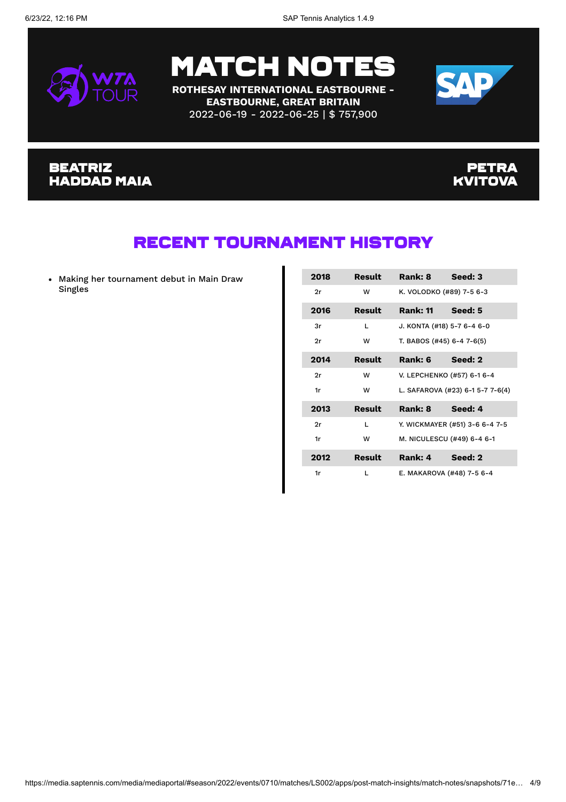

**ROTHESAY INTERNATIONAL EASTBOURNE - EASTBOURNE, GREAT BRITAIN** 2022-06-19 - 2022-06-25 | \$ 757,900



#### Beatriz Haddad Maia

#### **PETRA KVITOVA**

### Recent Tournament History

Making her tournament debut in Main Draw Singles

| 2018 | Result | Rank: 8                   | Seed: 3                          |
|------|--------|---------------------------|----------------------------------|
| 2r   | w      |                           | K. VOLODKO (#89) 7-5 6-3         |
| 2016 | Result | <b>Rank: 11</b>           | Seed: 5                          |
| 3r   | L      |                           | J. KONTA (#18) 5-7 6-4 6-0       |
| 2r   | w      | T. BABOS (#45) 6-4 7-6(5) |                                  |
| 2014 | Result | Rank: 6                   | Seed: 2                          |
| 2r   | w      |                           | V. LEPCHENKO (#57) 6-1 6-4       |
| 1r   | w      |                           | L. SAFAROVA (#23) 6-1 5-7 7-6(4) |
| 2013 | Result | Rank: 8                   | Seed: 4                          |
| 2r   | L      |                           | Y. WICKMAYER (#51) 3-6 6-4 7-5   |
| 1r   | w      |                           | M. NICULESCU (#49) 6-4 6-1       |
| 2012 | Result | Rank: 4                   | Seed: 2                          |
| 1r   | L      |                           | E. MAKAROVA (#48) 7-5 6-4        |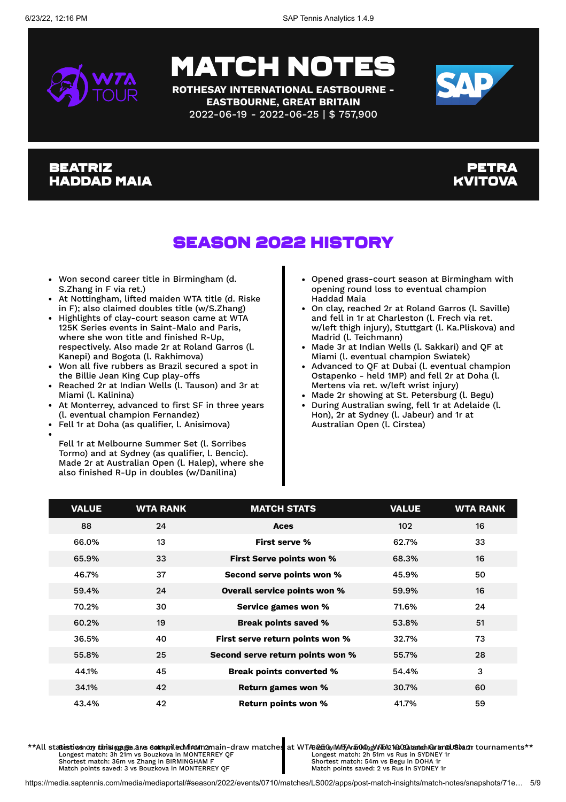

## **MATCH NO**

**ROTHESAY INTERNATIONAL EASTBOURNE - EASTBOURNE, GREAT BRITAIN** 2022-06-19 - 2022-06-25 | \$ 757,900



#### **BEATRIZ** Haddad Maia

#### Petra Kvitova

## Season 2022 History

- Won second career title in Birmingham (d. S.Zhang in F via ret.)
- At Nottingham, lifted maiden WTA title (d. Riske in F); also claimed doubles title (w/S.Zhang)
- Highlights of clay-court season came at WTA 125K Series events in Saint-Malo and Paris, where she won title and finished R-Up, respectively. Also made 2r at Roland Garros (l. Kanepi) and Bogota (l. Rakhimova)
- Won all five rubbers as Brazil secured a spot in the Billie Jean King Cup play-offs
- Reached 2r at Indian Wells (l. Tauson) and 3r at Miami (l. Kalinina)
- At Monterrey, advanced to first SF in three years (l. eventual champion Fernandez)
- Fell 1r at Doha (as qualifier, l. Anisimova)
- Fell 1r at Melbourne Summer Set (l. Sorribes Tormo) and at Sydney (as qualifier, l. Bencic). Made 2r at Australian Open (l. Halep), where she also finished R-Up in doubles (w/Danilina)
- Opened grass-court season at Birmingham with opening round loss to eventual champion Haddad Maia
- On clay, reached 2r at Roland Garros (l. Saville) and fell in 1r at Charleston (l. Frech via ret. w/left thigh injury), Stuttgart (l. Ka.Pliskova) and Madrid (l. Teichmann)
- Made 3r at Indian Wells (l. Sakkari) and QF at Miami (l. eventual champion Swiatek)
- Advanced to QF at Dubai (l. eventual champion Ostapenko - held 1MP) and fell 2r at Doha (l. Mertens via ret. w/left wrist injury)
- Made 2r showing at St. Petersburg (l. Begu)
- During Australian swing, fell 1r at Adelaide (l. Hon), 2r at Sydney (l. Jabeur) and 1r at Australian Open (l. Cirstea)

| <b>VALUE</b> | <b>WTA RANK</b> | <b>MATCH STATS</b>               | <b>VALUE</b> | <b>WTA RANK</b> |
|--------------|-----------------|----------------------------------|--------------|-----------------|
| 88           | 24              | Aces                             | 102          | 16              |
| 66.0%        | 13              | First serve %                    | 62.7%        | 33              |
| 65.9%        | 33              | <b>First Serve points won %</b>  | 68.3%        | 16              |
| 46.7%        | 37              | Second serve points won %        | 45.9%        | 50              |
| 59.4%        | 24              | Overall service points won %     | 59.9%        | 16              |
| 70.2%        | 30              | Service games won %              | 71.6%        | 24              |
| 60.2%        | 19              | <b>Break points saved %</b>      | 53.8%        | 51              |
| 36.5%        | 40              | First serve return points won %  | 32.7%        | 73              |
| 55.8%        | 25              | Second serve return points won % | 55.7%        | 28              |
| 44.1%        | 45              | <b>Break points converted %</b>  | 54.4%        | 3               |
| 34.1%        | 42              | <b>Return games won %</b>        | 30.7%        | 60              |
| 43.4%        | 42              | Return points won %              | 41.7%        | 59              |

\*\*All statistics ndry this impage are sextaniled vin Amain-draw matches at WTA 250, WMFA 500, WTA 2002 kanel GrandUS kan tournaments \*\* Longest match: 3h 21m vs Bouzkova in MONTERREY QF Shortest match: 36m vs Zhang in BIRMINGHAM F Match points saved: 3 vs Bouzkova in MONTERREY QF Longest match: 2h 51m vs Rus in SYDNEY 1r Shortest match: 54m vs Begu in DOHA 1r Match points saved: 2 vs Rus in SYDNEY 1r

https://media.saptennis.com/media/mediaportal/#season/2022/events/0710/matches/LS002/apps/post-match-insights/match-notes/snapshots/71e… 5/9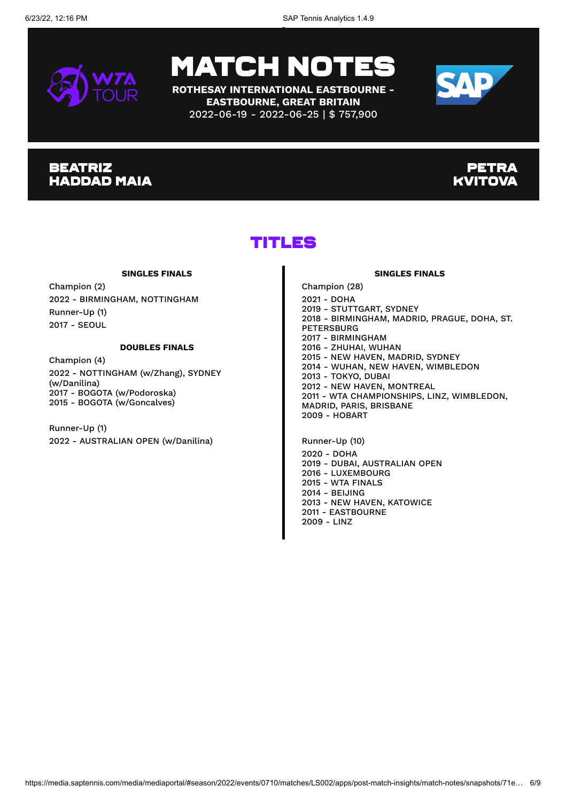

**ROTHESAY INTERNATIONAL EASTBOURNE - EASTBOURNE, GREAT BRITAIN** 2022-06-19 - 2022-06-25 | \$ 757,900



#### **BEATRIZ** Haddad Maia

#### **PETRA** Kvitova

### Titles

#### **SINGLES FINALS**

Champion (2) 2022 - BIRMINGHAM, NOTTINGHAM Runner-Up (1) 2017 - SEOUL

#### **DOUBLES FINALS**

Champion (4) 2022 - NOTTINGHAM (w/Zhang), SYDNEY (w/Danilina) 2017 - BOGOTA (w/Podoroska) 2015 - BOGOTA (w/Goncalves)

Runner-Up (1) 2022 - AUSTRALIAN OPEN (w/Danilina)

Champion (28) 2021 - DOHA 2019 - STUTTGART, SYDNEY 2018 - BIRMINGHAM, MADRID, PRAGUE, DOHA, ST. PETERSBURG 2017 - BIRMINGHAM 2016 - ZHUHAI, WUHAN 2015 - NEW HAVEN, MADRID, SYDNEY 2014 - WUHAN, NEW HAVEN, WIMBLEDON 2013 - TOKYO, DUBAI 2012 - NEW HAVEN, MONTREAL 2011 - WTA CHAMPIONSHIPS, LINZ, WIMBLEDON, MADRID, PARIS, BRISBANE 2009 - HOBART

**SINGLES FINALS**

Runner-Up (10) 2020 - DOHA 2019 - DUBAI, AUSTRALIAN OPEN 2016 - LUXEMBOURG 2015 - WTA FINALS 2014 - BEIJING 2013 - NEW HAVEN, KATOWICE 2011 - EASTBOURNE 2009 - LINZ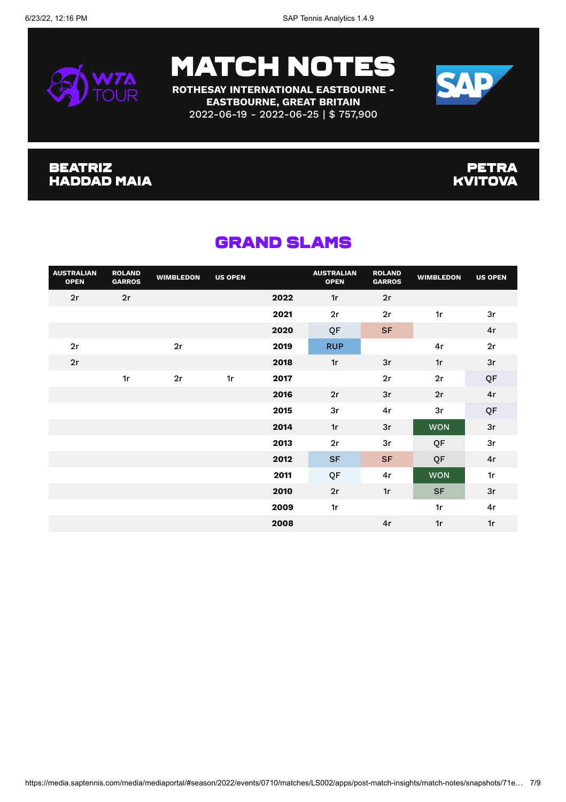

**ROTHESAY INTERNATIONAL EASTBOURNE - EASTBOURNE, GREAT BRITAIN** 2022-06-19 - 2022-06-25 | \$ 757,900



#### Beatriz Haddad Maia

#### **PETRA KVITOVA**

| <b>AUSTRALIAN</b><br><b>OPEN</b> | <b>ROLAND</b><br><b>GARROS</b> | <b>WIMBLEDON</b> | <b>US OPEN</b> |      | <b>AUSTRALIAN</b><br><b>OPEN</b> | <b>ROLAND</b><br><b>GARROS</b> | <b>WIMBLEDON</b> | <b>US OPEN</b> |
|----------------------------------|--------------------------------|------------------|----------------|------|----------------------------------|--------------------------------|------------------|----------------|
| 2r                               | 2r                             |                  |                | 2022 | 1r                               | 2r                             |                  |                |
|                                  |                                |                  |                | 2021 | 2r                               | 2r                             | 1r               | 3r             |
|                                  |                                |                  |                | 2020 | QF                               | <b>SF</b>                      |                  | 4r             |
| 2r                               |                                | 2r               |                | 2019 | <b>RUP</b>                       |                                | 4r               | 2r             |
| 2r                               |                                |                  |                | 2018 | 1r                               | 3r                             | 1r               | 3r             |
|                                  | 1r                             | 2r               | 1r             | 2017 |                                  | 2r                             | 2r               | QF             |
|                                  |                                |                  |                | 2016 | 2r                               | 3r                             | 2r               | 4r             |
|                                  |                                |                  |                | 2015 | 3r                               | 4r                             | 3r               | QF             |
|                                  |                                |                  |                | 2014 | 1r                               | 3r                             | <b>WON</b>       | 3r             |
|                                  |                                |                  |                | 2013 | 2r                               | 3r                             | QF               | 3r             |
|                                  |                                |                  |                | 2012 | <b>SF</b>                        | <b>SF</b>                      | QF               | 4r             |
|                                  |                                |                  |                | 2011 | QF                               | 4r                             | <b>WON</b>       | 1r             |
|                                  |                                |                  |                | 2010 | 2r                               | 1r                             | <b>SF</b>        | 3r             |
|                                  |                                |                  |                | 2009 | 1r                               |                                | 1r               | 4r             |
|                                  |                                |                  |                | 2008 |                                  | 4r                             | 1r               | 1r             |

### Grand Slams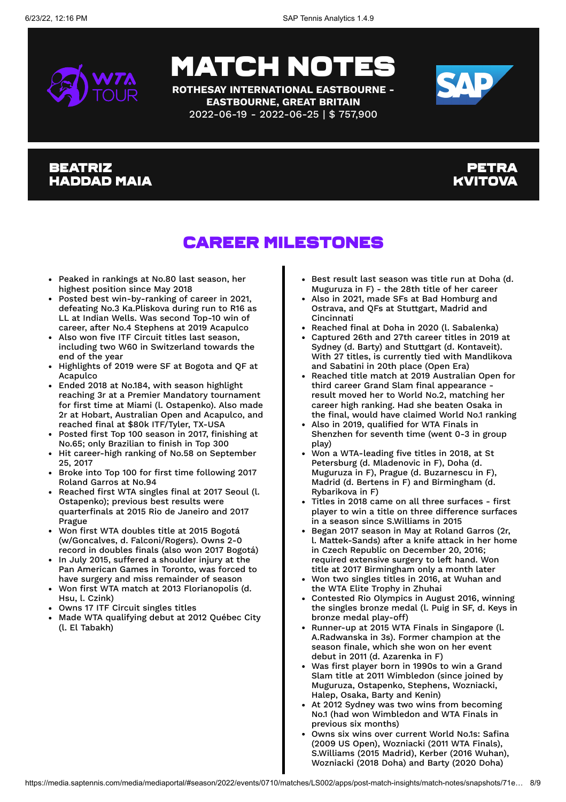

**ROTHESAY INTERNATIONAL EASTBOURNE - EASTBOURNE, GREAT BRITAIN** 2022-06-19 - 2022-06-25 | \$ 757,900



#### **BEATRIZ** Haddad Maia

#### Petra KVITOV.

### Career Milestones

- Peaked in rankings at No.80 last season, her highest position since May 2018
- Posted best win-by-ranking of career in 2021, defeating No.3 Ka.Pliskova during run to R16 as LL at Indian Wells. Was second Top-10 win of career, after No.4 Stephens at 2019 Acapulco
- Also won five ITF Circuit titles last season, including two W60 in Switzerland towards the end of the year
- Highlights of 2019 were SF at Bogota and QF at Acapulco
- Ended 2018 at No.184, with season highlight reaching 3r at a Premier Mandatory tournament for first time at Miami (l. Ostapenko). Also made 2r at Hobart, Australian Open and Acapulco, and reached final at \$80k ITF/Tyler, TX-USA
- Posted first Top 100 season in 2017, finishing at No.65; only Brazilian to finish in Top 300
- Hit career-high ranking of No.58 on September 25, 2017
- Broke into Top 100 for first time following 2017 Roland Garros at No.94
- Reached first WTA singles final at 2017 Seoul (l. Ostapenko); previous best results were quarterfinals at 2015 Rio de Janeiro and 2017 Prague
- Won first WTA doubles title at 2015 Bogotá (w/Goncalves, d. Falconi/Rogers). Owns 2-0 record in doubles finals (also won 2017 Bogotá)
- In July 2015, suffered a shoulder injury at the Pan American Games in Toronto, was forced to have surgery and miss remainder of season
- Won first WTA match at 2013 Florianopolis (d. Hsu, l. Czink)
- Owns 17 ITF Circuit singles titles
- Made WTA qualifying debut at 2012 Québec City (l. El Tabakh)
- Best result last season was title run at Doha (d. Muguruza in F) - the 28th title of her career
- Also in 2021, made SFs at Bad Homburg and Ostrava, and QFs at Stuttgart, Madrid and Cincinnati
- Reached final at Doha in 2020 (l. Sabalenka)
- Captured 26th and 27th career titles in 2019 at Sydney (d. Barty) and Stuttgart (d. Kontaveit). With 27 titles, is currently tied with Mandlikova and Sabatini in 20th place (Open Era)
- Reached title match at 2019 Australian Open for third career Grand Slam final appearance result moved her to World No.2, matching her career high ranking. Had she beaten Osaka in the final, would have claimed World No.1 ranking
- Also in 2019, qualified for WTA Finals in Shenzhen for seventh time (went 0-3 in group play)
- Won a WTA-leading five titles in 2018, at St Petersburg (d. Mladenovic in F), Doha (d. Muguruza in F), Prague (d. Buzarnescu in F), Madrid (d. Bertens in F) and Birmingham (d. Rybarikova in F)
- Titles in 2018 came on all three surfaces first player to win a title on three difference surfaces in a season since S.Williams in 2015
- Began 2017 season in May at Roland Garros (2r, l. Mattek-Sands) after a knife attack in her home in Czech Republic on December 20, 2016; required extensive surgery to left hand. Won title at 2017 Birmingham only a month later
- Won two singles titles in 2016, at Wuhan and the WTA Elite Trophy in Zhuhai
- Contested Rio Olympics in August 2016, winning the singles bronze medal (l. Puig in SF, d. Keys in bronze medal play-off)
- Runner-up at 2015 WTA Finals in Singapore (l. A.Radwanska in 3s). Former champion at the season finale, which she won on her event debut in 2011 (d. Azarenka in F)
- Was first player born in 1990s to win a Grand Slam title at 2011 Wimbledon (since joined by Muguruza, Ostapenko, Stephens, Wozniacki, Halep, Osaka, Barty and Kenin)
- At 2012 Sydney was two wins from becoming No.1 (had won Wimbledon and WTA Finals in previous six months)
- Owns six wins over current World No.1s: Safina (2009 US Open), Wozniacki (2011 WTA Finals), S.Williams (2015 Madrid), Kerber (2016 Wuhan), Wozniacki (2018 Doha) and Barty (2020 Doha)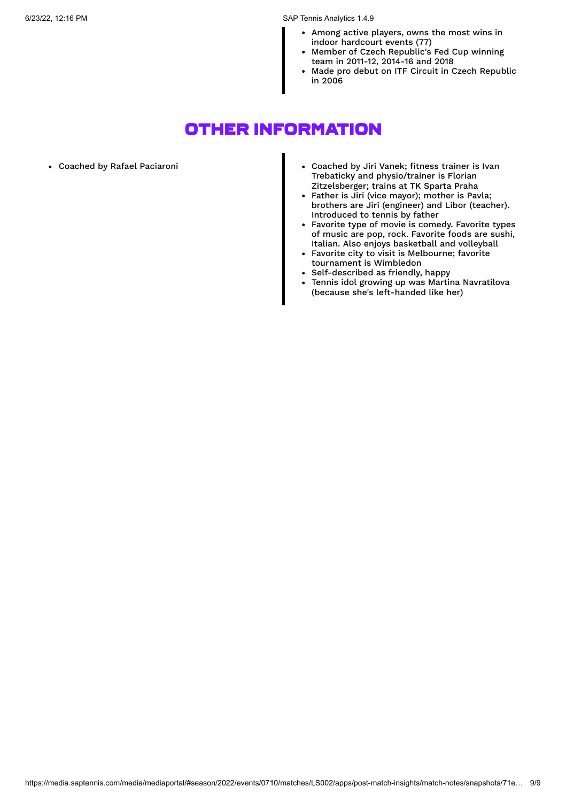6/23/22, 12:16 PM SAP Tennis Analytics 1.4.9

- Among active players, owns the most wins in indoor hardcourt events (77)
- Member of Czech Republic's Fed Cup winning team in 2011-12, 2014-16 and 2018
- Made pro debut on ITF Circuit in Czech Republic in 2006

### Other Information

- 
- Coached by Rafael Paciaroni Coached by Jiri Vanek; fitness trainer is Ivan Trebaticky and physio/trainer is Florian Zitzelsberger; trains at TK Sparta Praha
	- Father is Jiri (vice mayor); mother is Pavla; brothers are Jiri (engineer) and Libor (teacher). Introduced to tennis by father
	- Favorite type of movie is comedy. Favorite types of music are pop, rock. Favorite foods are sushi, Italian. Also enjoys basketball and volleyball
	- Favorite city to visit is Melbourne; favorite tournament is Wimbledon
	- Self-described as friendly, happy
	- Tennis idol growing up was Martina Navratilova  $\bullet$ (because she's left-handed like her)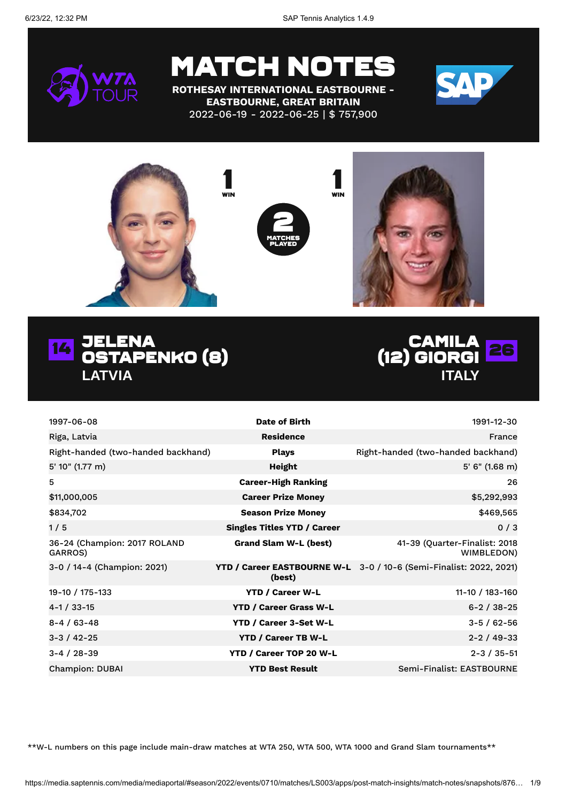6/23/22, 12:32 PM SAP Tennis Analytics 1.4.9



## MATCH NOTES

**ROTHESAY INTERNATIONAL EASTBOURNE - EASTBOURNE, GREAT BRITAIN** 2022-06-19 - 2022-06-25 | \$ 757,900





### 14 JELENA<br>14 Detabri Ostapenko (8) **LATVIA**



| 1997-06-08                              | Date of Birth                      | 1991-12-30                                                         |
|-----------------------------------------|------------------------------------|--------------------------------------------------------------------|
| Riga, Latvia                            | <b>Residence</b>                   | France                                                             |
| Right-handed (two-handed backhand)      | <b>Plays</b>                       | Right-handed (two-handed backhand)                                 |
| 5' 10" (1.77 m)                         | Height                             | $5'$ 6" (1.68 m)                                                   |
| 5                                       | <b>Career-High Ranking</b>         | 26                                                                 |
| \$11,000,005                            | <b>Career Prize Money</b>          | \$5,292,993                                                        |
| \$834,702                               | <b>Season Prize Money</b>          | \$469,565                                                          |
| 1/5                                     | <b>Singles Titles YTD / Career</b> | 0/3                                                                |
| 36-24 (Champion: 2017 ROLAND<br>GARROS) | <b>Grand Slam W-L (best)</b>       | 41-39 (Quarter-Finalist: 2018<br>WIMBLEDON)                        |
| 3-0 / 14-4 (Champion: 2021)             | (best)                             | YTD / Career EASTBOURNE W-L 3-0 / 10-6 (Semi-Finalist: 2022, 2021) |
| 19-10 / 175-133                         | <b>YTD / Career W-L</b>            | 11-10 / 183-160                                                    |
| 4-1 / 33-15                             | <b>YTD / Career Grass W-L</b>      | $6 - 2 / 38 - 25$                                                  |
| $8 - 4 / 63 - 48$                       | <b>YTD / Career 3-Set W-L</b>      | $3 - 5 / 62 - 56$                                                  |
| $3 - 3 / 42 - 25$                       | <b>YTD / Career TB W-L</b>         | $2 - 2 / 49 - 33$                                                  |
| $3 - 4 / 28 - 39$                       | YTD / Career TOP 20 W-L            | $2 - 3 / 35 - 51$                                                  |
| <b>Champion: DUBAI</b>                  | <b>YTD Best Result</b>             | Semi-Finalist: EASTBOURNE                                          |

\*\*W-L numbers on this page include main-draw matches at WTA 250, WTA 500, WTA 1000 and Grand Slam tournaments\*\*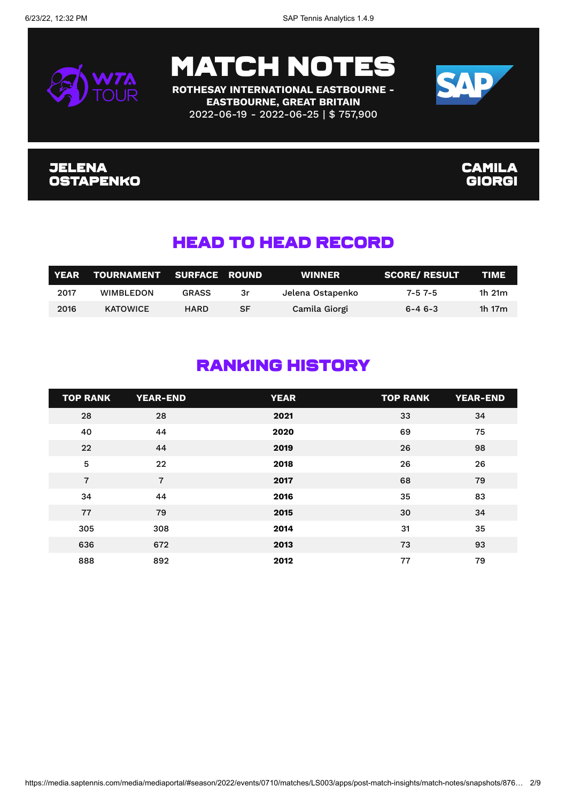



**ROTHESAY INTERNATIONAL EASTBOURNE - EASTBOURNE, GREAT BRITAIN** 2022-06-19 - 2022-06-25 | \$ 757,900



#### Jelena Ostapenko

#### **CAMILA** Giorgi

### Head To Head Record

| <b>YEAR</b> | TOURNAMENT SURFACE ROUND |              |    | <b>WINNER</b>    | <b>SCORE/ RESULT</b> | TIME         |
|-------------|--------------------------|--------------|----|------------------|----------------------|--------------|
| 2017        | <b>WIMBLEDON</b>         | <b>GRASS</b> | 3r | Jelena Ostapenko | $7 - 57 - 5$         | 1 $h$ 21 $m$ |
| 2016        | <b>KATOWICE</b>          | HARD         | SF | Camila Giorgi    | $6 - 46 - 3$         | 1h 17m       |

### Ranking History

| <b>TOP RANK</b> | <b>YEAR-END</b> | <b>YEAR</b> | <b>TOP RANK</b> | <b>YEAR-END</b> |
|-----------------|-----------------|-------------|-----------------|-----------------|
| 28              | 28              | 2021        | 33              | 34              |
| 40              | 44              | 2020        | 69              | 75              |
| 22              | 44              | 2019        | 26              | 98              |
| 5               | 22              | 2018        | 26              | 26              |
| $\overline{7}$  | $\overline{7}$  | 2017        | 68              | 79              |
| 34              | 44              | 2016        | 35              | 83              |
| 77              | 79              | 2015        | 30              | 34              |
| 305             | 308             | 2014        | 31              | 35              |
| 636             | 672             | 2013        | 73              | 93              |
| 888             | 892             | 2012        | 77              | 79              |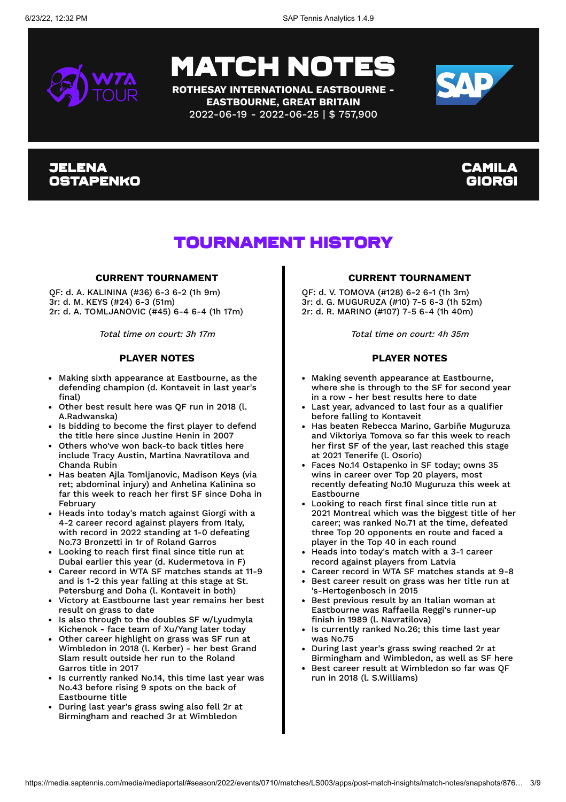

**ROTHESAY INTERNATIONAL EASTBOURNE - EASTBOURNE, GREAT BRITAIN** 2022-06-19 - 2022-06-25 | \$ 757,900



#### Jelena Ostapenko

### Camila Giorgi

### Tournament History

#### **CURRENT TOURNAMENT**

QF: d. A. KALININA (#36) 6-3 6-2 (1h 9m) 3r: d. M. KEYS (#24) 6-3 (51m) 2r: d. A. TOMLJANOVIC (#45) 6-4 6-4 (1h 17m)

Total time on court: 3h 17m

#### **PLAYER NOTES**

- Making sixth appearance at Eastbourne, as the defending champion (d. Kontaveit in last year's final)
- Other best result here was QF run in 2018 (l. A.Radwanska)
- Is bidding to become the first player to defend the title here since Justine Henin in 2007
- Others who've won back-to back titles here include Tracy Austin, Martina Navratilova and Chanda Rubin
- Has beaten Ajla Tomljanovic, Madison Keys (via ret; abdominal injury) and Anhelina Kalinina so far this week to reach her first SF since Doha in February
- Heads into today's match against Giorgi with a 4-2 career record against players from Italy, with record in 2022 standing at 1-0 defeating No.73 Bronzetti in 1r of Roland Garros
- Looking to reach first final since title run at Dubai earlier this year (d. Kudermetova in F)
- Career record in WTA SF matches stands at 11-9 and is 1-2 this year falling at this stage at St. Petersburg and Doha (l. Kontaveit in both)
- Victory at Eastbourne last year remains her best result on grass to date
- Is also through to the doubles SF w/Lyudmyla Kichenok - face team of Xu/Yang later today
- Other career highlight on grass was SF run at Wimbledon in 2018 (l. Kerber) - her best Grand Slam result outside her run to the Roland Garros title in 2017
- Is currently ranked No.14, this time last year was No.43 before rising 9 spots on the back of Eastbourne title
- During last year's grass swing also fell 2r at Birmingham and reached 3r at Wimbledon

#### **CURRENT TOURNAMENT**

QF: d. V. TOMOVA (#128) 6-2 6-1 (1h 3m) 3r: d. G. MUGURUZA (#10) 7-5 6-3 (1h 52m) 2r: d. R. MARINO (#107) 7-5 6-4 (1h 40m)

Total time on court: 4h 35m

#### **PLAYER NOTES**

- Making seventh appearance at Eastbourne, where she is through to the SF for second year in a row - her best results here to date
- Last year, advanced to last four as a qualifier before falling to Kontaveit
- Has beaten Rebecca Marino, Garbiñe Muguruza and Viktoriya Tomova so far this week to reach her first SF of the year, last reached this stage at 2021 Tenerife (l. Osorio)
- Faces No.14 Ostapenko in SF today; owns 35 wins in career over Top 20 players, most recently defeating No.10 Muguruza this week at Eastbourne
- Looking to reach first final since title run at 2021 Montreal which was the biggest title of her career; was ranked No.71 at the time, defeated three Top 20 opponents en route and faced a player in the Top 40 in each round
- Heads into today's match with a 3-1 career record against players from Latvia
- Career record in WTA SF matches stands at 9-8
- Best career result on grass was her title run at 's-Hertogenbosch in 2015
- Best previous result by an Italian woman at Eastbourne was Raffaella Reggi's runner-up finish in 1989 (l. Navratilova)
- Is currently ranked No.26; this time last year was No.75
- During last year's grass swing reached 2r at Birmingham and Wimbledon, as well as SF here
- Best career result at Wimbledon so far was QF run in 2018 (l. S.Williams)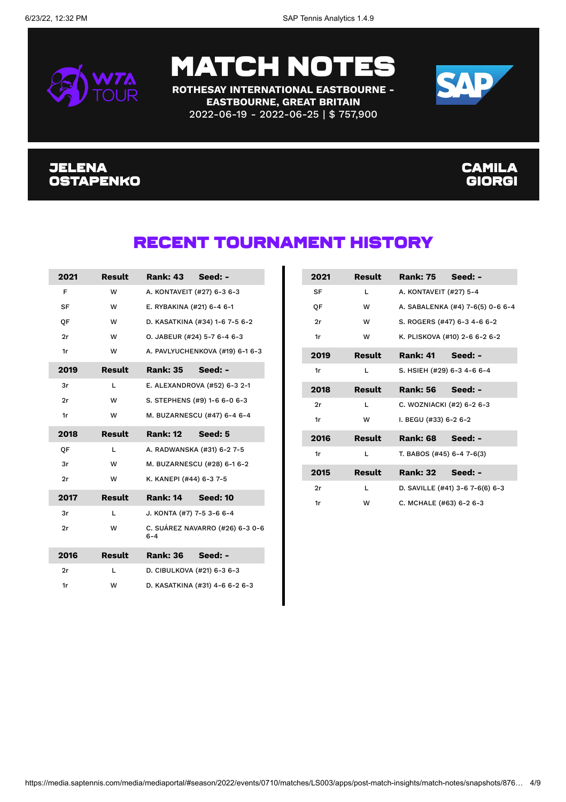

**ROTHESAY INTERNATIONAL EASTBOURNE - EASTBOURNE, GREAT BRITAIN** 2022-06-19 - 2022-06-25 | \$ 757,900



#### Jelena Ostapenko

#### **CAMILA** Giorgi

### Recent Tournament History

| 2021      | Result        | <b>Rank: 43</b><br>Seed: -                 |
|-----------|---------------|--------------------------------------------|
| F         | w             | A. KONTAVEIT (#27) 6-3 6-3                 |
| <b>SF</b> | w             | E. RYBAKINA (#21) 6-4 6-1                  |
| OF        | w             | D. KASATKINA (#34) 1-6 7-5 6-2             |
| 2r        | w             | O. JABEUR (#24) 5-7 6-4 6-3                |
| 1r        | w             | A. PAVLYUCHENKOVA (#19) 6-1 6-3            |
| 2019      | <b>Result</b> | Seed: -<br><b>Rank: 35</b>                 |
| 3r        | L             | E. ALEXANDROVA (#52) 6-3 2-1               |
| 2r        | w             | S. STEPHENS (#9) 1-6 6-0 6-3               |
| 1r        | w             | M. BUZARNESCU (#47) 6-4 6-4                |
| 2018      | Result        | <b>Rank: 12</b><br>Seed: 5                 |
| QF        | L             | A. RADWANSKA (#31) 6-2 7-5                 |
| 3r        | w             | M. BUZARNESCU (#28) 6-1 6-2                |
| 2r        | w             | K. KANEPI (#44) 6-3 7-5                    |
| 2017      | Result        | Rank: 14 Seed: 10                          |
| 3r        | L             | J. KONTA (#7) 7-5 3-6 6-4                  |
| 2r        | w             | C. SUÁREZ NAVARRO (#26) 6-3 0-6<br>$6 - 4$ |
| 2016      | <b>Result</b> | <b>Rank: 36</b><br>Seed: -                 |
| 2r        | L             | D. CIBULKOVA (#21) 6-3 6-3                 |
| 1r        |               |                                            |

| 2021 | Result        | Rank: 75 Seed: -           |                                  |
|------|---------------|----------------------------|----------------------------------|
| SF   | $\mathbf{L}$  | A. KONTAVEIT (#27) 5-4     |                                  |
| ОF   | w             |                            | A. SABALENKA (#4) 7-6(5) 0-6 6-4 |
| 2r   | W             |                            | S. ROGERS (#47) 6-3 4-6 6-2      |
| 1r   | w             |                            | K. PLISKOVA (#10) 2-6 6-2 6-2    |
| 2019 | Result        | Rank: 41 Seed: -           |                                  |
| 1r   | L             | S. HSIEH (#29) 6-3 4-6 6-4 |                                  |
| 2018 | Result        | Rank: 56 Seed: -           |                                  |
| 2r   | L             | C. WOZNIACKI (#2) 6-2 6-3  |                                  |
| 1r   | w             | I. BEGU (#33) 6-2 6-2      |                                  |
| 2016 | <b>Result</b> | Rank: 68 Seed: -           |                                  |
| 1r   | L             | T. BABOS (#45) 6-4 7-6(3)  |                                  |
| 2015 | Result        | Rank: 32 Seed: -           |                                  |
| 2r   | $\mathbf{L}$  |                            | D. SAVILLE (#41) 3-6 7-6(6) 6-3  |
| 1r   | w             | C. MCHALE (#63) 6-2 6-3    |                                  |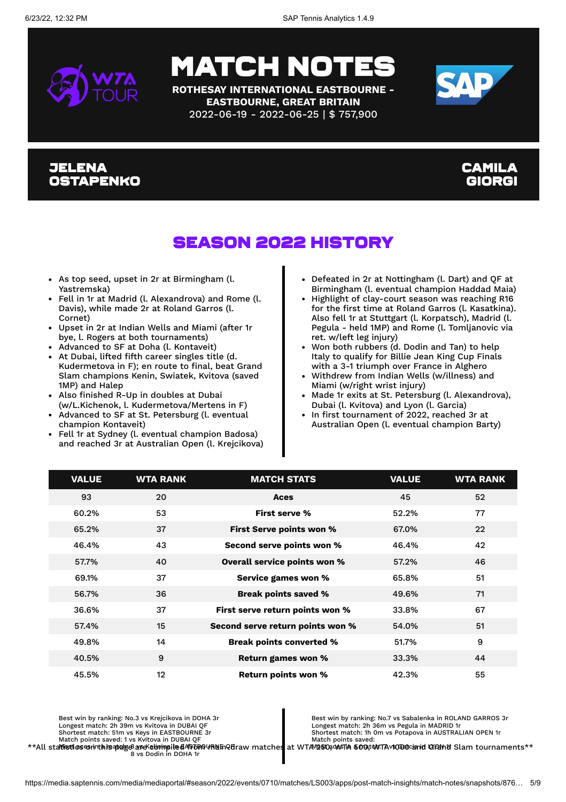

**ROTHESAY INTERNATIONAL EASTBOURNE - EASTBOURNE, GREAT BRITAIN** 2022-06-19 - 2022-06-25 | \$ 757,900



#### Jelena Ostapenko

#### Camila Giorgi

### Season 2022 History

- As top seed, upset in 2r at Birmingham (l. Yastremska)
- Fell in 1r at Madrid (l. Alexandrova) and Rome (l. Davis), while made 2r at Roland Garros (l. Cornet)
- Upset in 2r at Indian Wells and Miami (after 1r bye, l. Rogers at both tournaments)
- Advanced to SF at Doha (l. Kontaveit)
- At Dubai, lifted fifth career singles title (d. Kudermetova in F); en route to final, beat Grand Slam champions Kenin, Swiatek, Kvitova (saved 1MP) and Halep
- Also finished R-Up in doubles at Dubai (w/L.Kichenok, l. Kudermetova/Mertens in F)
- Advanced to SF at St. Petersburg (l. eventual champion Kontaveit)
- Fell 1r at Sydney (l. eventual champion Badosa) and reached 3r at Australian Open (l. Krejcikova)
- Defeated in 2r at Nottingham (l. Dart) and QF at Birmingham (l. eventual champion Haddad Maia)
- Highlight of clay-court season was reaching R16 for the first time at Roland Garros (l. Kasatkina). Also fell 1r at Stuttgart (l. Korpatsch), Madrid (l. Pegula - held 1MP) and Rome (l. Tomljanovic via ret. w/left leg injury)
- Won both rubbers (d. Dodin and Tan) to help Italy to qualify for Billie Jean King Cup Finals with a 3-1 triumph over France in Alghero
- Withdrew from Indian Wells (w/illness) and Miami (w/right wrist injury)
- Made 1r exits at St. Petersburg (l. Alexandrova), Dubai (l. Kvitova) and Lyon (l. Garcia)
- In first tournament of 2022, reached 3r at Australian Open (l. eventual champion Barty)

| <b>VALUE</b> | <b>WTA RANK</b> | <b>MATCH STATS</b>               | <b>VALUE</b> | <b>WTA RANK</b> |
|--------------|-----------------|----------------------------------|--------------|-----------------|
| 93           | 20              | Aces                             | 45           | 52              |
| 60.2%        | 53              | <b>First serve %</b>             | 52.2%        | 77              |
| 65.2%        | 37              | First Serve points won %         | 67.0%        | 22              |
| 46.4%        | 43              | Second serve points won %        | 46.4%        | 42              |
| 57.7%        | 40              | Overall service points won %     | 57.2%        | 46              |
| 69.1%        | 37              | Service games won %              | 65.8%        | 51              |
| 56.7%        | 36              | <b>Break points saved %</b>      | 49.6%        | 71              |
| 36.6%        | 37              | First serve return points won %  | 33.8%        | 67              |
| 57.4%        | 15              | Second serve return points won % | 54.0%        | 51              |
| 49.8%        | 14              | <b>Break points converted %</b>  | 51.7%        | 9               |
| 40.5%        | 9               | <b>Return games won %</b>        | 33.3%        | 44              |
| 45.5%        | $12 \,$         | <b>Return points won %</b>       | 42.3%        | 55              |

Best win by ranking: No.3 vs Krejcikova in DOHA 3r Longest match: 2h 39m vs Kvitova in DUBAI QF Shortest match: 51m vs Keys in EASTBOURNE 3r Match points saved: 1 vs Kvitova in DUBAI QF

Best win by ranking: No.7 vs Sabalenka in ROLAND GARROS 3r Longest match: 2h 36m vs Pegula in MADRID 1r Shortest match: 1h 0m vs Potapova in AUSTRALIAN OPEN 1r

\*\*All stattistics containaply and the diffusion of the diffusion of the diffusion of the diffusion of the diffusion of the diffusion of the diffusion of the diffusion of the diffusion of the diffusion of vs Dodin in DOHA 1 Match points saved:<br>at WTAV@50gdA6TA 500gtdN:TAv\$0090cand LYCANt Slam tournaments\*\*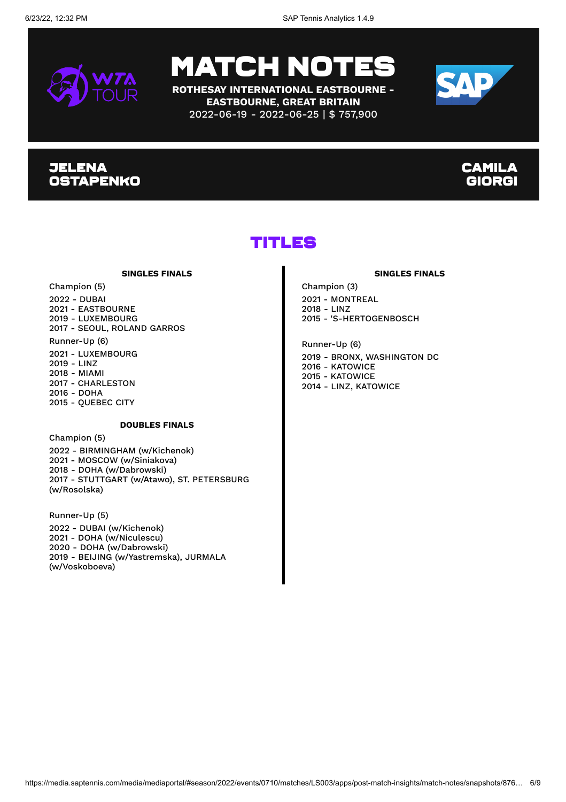

**ROTHESAY INTERNATIONAL EASTBOURNE - EASTBOURNE, GREAT BRITAIN** 2022-06-19 - 2022-06-25 | \$ 757,900



#### **JELENA OSTAPENKO**

#### **CAMILA** Giorgi

### Titles

#### **SINGLES FINALS**

Champion (5) 2022 - DUBAI 2021 - EASTBOURNE

2019 - LUXEMBOURG 2017 - SEOUL, ROLAND GARROS

Runner-Up (6) 2021 - LUXEMBOURG 2019 - LINZ 2018 - MIAMI 2017 - CHARLESTON 2016 - DOHA 2015 - QUEBEC CITY

#### **DOUBLES FINALS**

Champion (5) - BIRMINGHAM (w/Kichenok) - MOSCOW (w/Siniakova) - DOHA (w/Dabrowski) - STUTTGART (w/Atawo), ST. PETERSBURG (w/Rosolska)

Runner-Up (5) 2022 - DUBAI (w/Kichenok) 2021 - DOHA (w/Niculescu) 2020 - DOHA (w/Dabrowski) 2019 - BEIJING (w/Yastremska), JURMALA (w/Voskoboeva)

#### **SINGLES FINALS**

Champion (3) 2021 - MONTREAL 2018 - LINZ 2015 - 'S-HERTOGENBOSCH

Runner-Up (6) 2019 - BRONX, WASHINGTON DC 2016 - KATOWICE 2015 - KATOWICE 2014 - LINZ, KATOWICE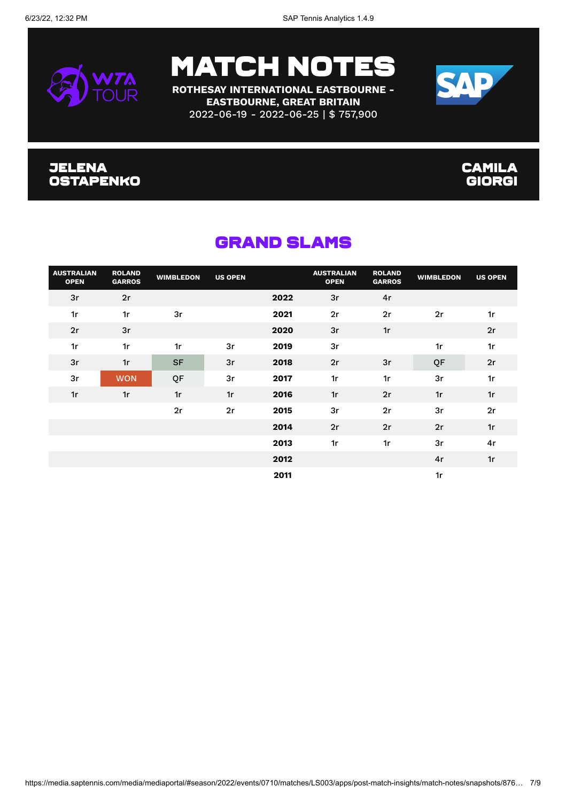

**ROTHESAY INTERNATIONAL EASTBOURNE - EASTBOURNE, GREAT BRITAIN** 2022-06-19 - 2022-06-25 | \$ 757,900



#### Jelena Ostapenko

#### **CAMILA** Giorgi

| <b>AUSTRALIAN</b><br><b>OPEN</b> | <b>ROLAND</b><br><b>GARROS</b> | <b>WIMBLEDON</b> | <b>US OPEN</b> |      | <b>AUSTRALIAN</b><br><b>OPEN</b> | <b>ROLAND</b><br><b>GARROS</b> | <b>WIMBLEDON</b> | <b>US OPEN</b> |
|----------------------------------|--------------------------------|------------------|----------------|------|----------------------------------|--------------------------------|------------------|----------------|
| 3r                               | 2r                             |                  |                | 2022 | 3r                               | 4r                             |                  |                |
| 1r                               | 1r                             | 3r               |                | 2021 | 2r                               | 2r                             | 2r               | 1r             |
| 2r                               | 3r                             |                  |                | 2020 | 3r                               | 1r                             |                  | 2r             |
| 1r                               | 1r                             | 1r               | 3r             | 2019 | 3r                               |                                | 1r               | 1r             |
| 3r                               | 1r                             | <b>SF</b>        | 3r             | 2018 | 2r                               | 3r                             | QF               | 2r             |
| 3r                               | <b>WON</b>                     | QF               | 3r             | 2017 | 1r                               | 1r                             | 3r               | 1r             |
| 1r                               | 1r                             | 1r               | 1r             | 2016 | 1r                               | 2r                             | 1r               | 1r             |
|                                  |                                | 2r               | 2r             | 2015 | 3r                               | 2r                             | 3r               | 2r             |
|                                  |                                |                  |                | 2014 | 2r                               | 2r                             | 2r               | 1r             |
|                                  |                                |                  |                | 2013 | 1r                               | 1r                             | 3r               | 4r             |
|                                  |                                |                  |                | 2012 |                                  |                                | 4r               | 1r             |
|                                  |                                |                  |                | 2011 |                                  |                                | 1r               |                |

### Grand Slams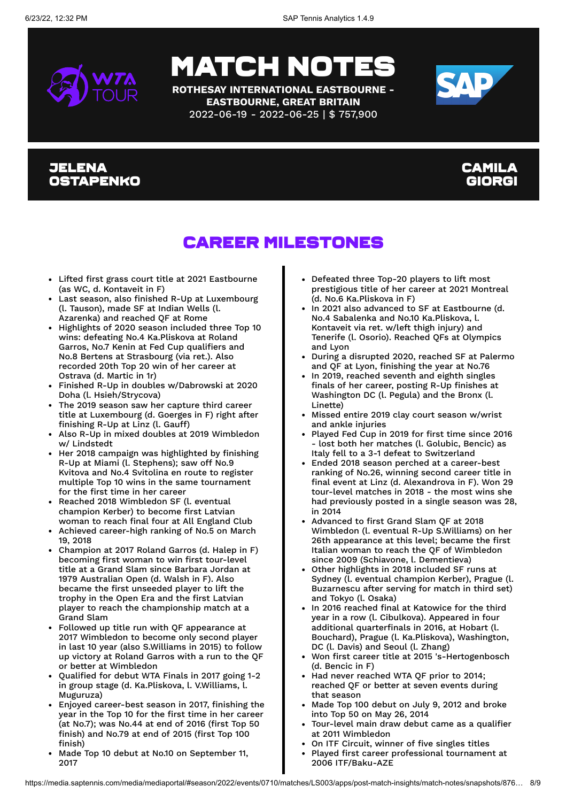

**ROTHESAY INTERNATIONAL EASTBOURNE - EASTBOURNE, GREAT BRITAIN** 2022-06-19 - 2022-06-25 | \$ 757,900



#### Jelena Ostapenko

#### Camila Giorgi

### Career Milestones

- Lifted first grass court title at 2021 Eastbourne (as WC, d. Kontaveit in F)
- Last season, also finished R-Up at Luxembourg (l. Tauson), made SF at Indian Wells (l. Azarenka) and reached QF at Rome
- Highlights of 2020 season included three Top 10 wins: defeating No.4 Ka.Pliskova at Roland Garros, No.7 Kenin at Fed Cup qualifiers and No.8 Bertens at Strasbourg (via ret.). Also recorded 20th Top 20 win of her career at Ostrava (d. Martic in 1r)
- Finished R-Up in doubles w/Dabrowski at 2020 Doha (l. Hsieh/Strycova)
- The 2019 season saw her capture third career title at Luxembourg (d. Goerges in F) right after finishing R-Up at Linz (l. Gauff)
- Also R-Up in mixed doubles at 2019 Wimbledon w/ Lindstedt
- Her 2018 campaign was highlighted by finishing R-Up at Miami (l. Stephens); saw off No.9 Kvitova and No.4 Svitolina en route to register multiple Top 10 wins in the same tournament for the first time in her career
- Reached 2018 Wimbledon SF (l. eventual champion Kerber) to become first Latvian woman to reach final four at All England Club
- Achieved career-high ranking of No.5 on March 19, 2018
- Champion at 2017 Roland Garros (d. Halep in F) becoming first woman to win first tour-level title at a Grand Slam since Barbara Jordan at 1979 Australian Open (d. Walsh in F). Also became the first unseeded player to lift the trophy in the Open Era and the first Latvian player to reach the championship match at a Grand Slam
- Followed up title run with QF appearance at 2017 Wimbledon to become only second player in last 10 year (also S.Williams in 2015) to follow up victory at Roland Garros with a run to the QF or better at Wimbledon
- Qualified for debut WTA Finals in 2017 going 1-2 in group stage (d. Ka.Pliskova, l. V.Williams, l. Muguruza)
- Enjoyed career-best season in 2017, finishing the year in the Top 10 for the first time in her career (at No.7); was No.44 at end of 2016 (first Top 50 finish) and No.79 at end of 2015 (first Top 100 finish)
- Made Top 10 debut at No.10 on September 11, 2017
- Defeated three Top-20 players to lift most prestigious title of her career at 2021 Montreal (d. No.6 Ka.Pliskova in F)
- In 2021 also advanced to SF at Eastbourne (d. No.4 Sabalenka and No.10 Ka.Pliskova, l. Kontaveit via ret. w/left thigh injury) and Tenerife (l. Osorio). Reached QFs at Olympics and Lyon
- During a disrupted 2020, reached SF at Palermo and QF at Lyon, finishing the year at No.76
- In 2019, reached seventh and eighth singles finals of her career, posting R-Up finishes at Washington DC (l. Pegula) and the Bronx (l. Linette)
- Missed entire 2019 clay court season w/wrist and ankle injuries
- Played Fed Cup in 2019 for first time since 2016 - lost both her matches (l. Golubic, Bencic) as Italy fell to a 3-1 defeat to Switzerland
- Ended 2018 season perched at a career-best ranking of No.26, winning second career title in final event at Linz (d. Alexandrova in F). Won 29 tour-level matches in 2018 - the most wins she had previously posted in a single season was 28, in 2014
- Advanced to first Grand Slam QF at 2018 Wimbledon (l. eventual R-Up S.Williams) on her 26th appearance at this level; became the first Italian woman to reach the QF of Wimbledon since 2009 (Schiavone, l. Dementieva)
- Other highlights in 2018 included SF runs at Sydney (l. eventual champion Kerber), Prague (l. Buzarnescu after serving for match in third set) and Tokyo (l. Osaka)
- In 2016 reached final at Katowice for the third year in a row (l. Cibulkova). Appeared in four additional quarterfinals in 2016, at Hobart (l. Bouchard), Prague (l. Ka.Pliskova), Washington, DC (l. Davis) and Seoul (l. Zhang)
- Won first career title at 2015 's-Hertogenbosch (d. Bencic in F)
- Had never reached WTA QF prior to 2014; reached QF or better at seven events during that season
- Made Top 100 debut on July 9, 2012 and broke into Top 50 on May 26, 2014
- Tour-level main draw debut came as a qualifier at 2011 Wimbledon
- On ITF Circuit, winner of five singles titles
- Played first career professional tournament at  $\bullet$ 2006 ITF/Baku-AZE